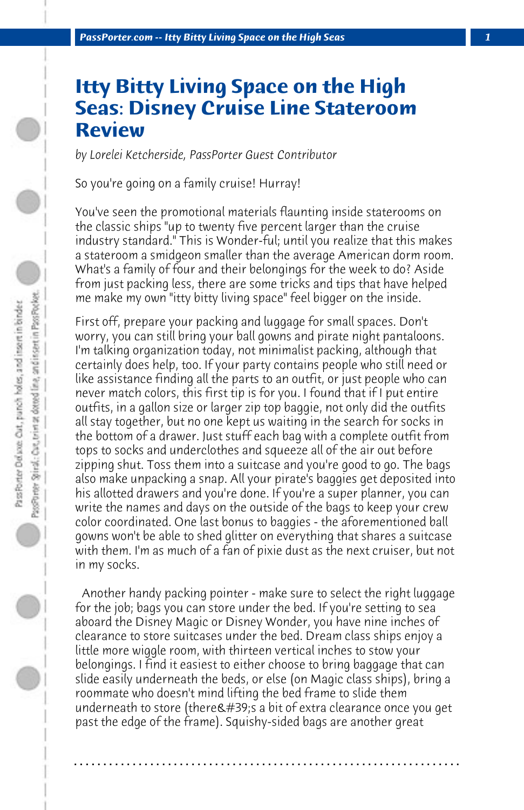## **Itty Bitty Living Space on the High Seas: Disney Cruise Line Stateroom Review**

*by Lorelei Ketcherside, PassPorter Guest Contributor*

So you're going on a family cruise! Hurray!

You've seen the promotional materials flaunting inside staterooms on the classic ships "up to twenty five percent larger than the cruise industry standard." This is Wonder-ful; until you realize that this makes a stateroom a smidgeon smaller than the average American dorm room. What's a family of four and their belongings for the week to do? Aside from just packing less, there are some tricks and tips that have helped me make my own "itty bitty living space" feel bigger on the inside.

First off, prepare your packing and luggage for small spaces. Don't worry, you can still bring your ball gowns and pirate night pantaloons. I'm talking organization today, not minimalist packing, although that certainly does help, too. If your party contains people who still need or like assistance finding all the parts to an outfit, or just people who can never match colors, this first tip is for you. I found that if I put entire outfits, in a gallon size or larger zip top baggie, not only did the outfits all stay together, but no one kept us waiting in the search for socks in the bottom of a drawer. Just stuff each bag with a complete outfit from tops to socks and underclothes and squeeze all of the air out before zipping shut. Toss them into a suitcase and you're good to go. The bags also make unpacking a snap. All your pirate's baggies get deposited into his allotted drawers and you're done. If you're a super planner, you can write the names and days on the outside of the bags to keep your crew color coordinated. One last bonus to baggies - the aforementioned ball gowns won't be able to shed glitter on everything that shares a suitcase with them. I'm as much of a fan of pixie dust as the next cruiser, but not in my socks.

 Another handy packing pointer - make sure to select the right luggage for the job; bags you can store under the bed. If you're setting to sea aboard the Disney Magic or Disney Wonder, you have nine inches of clearance to store suitcases under the bed. Dream class ships enjoy a little more wiggle room, with thirteen vertical inches to stow your belongings. I find it easiest to either choose to bring baggage that can slide easily underneath the beds, or else (on Magic class ships), bring a roommate who doesn't mind lifting the bed frame to slide them underneath to store (there $\&$ #39;s a bit of extra clearance once you get past the edge of the frame). Squishy-sided bags are another great

**. . . . . . . . . . . . . . . . . . . . . . . . . . . . . . . . . . . . . . . . . . . . . . . . . . . . . . . . . . . . . . . . . .**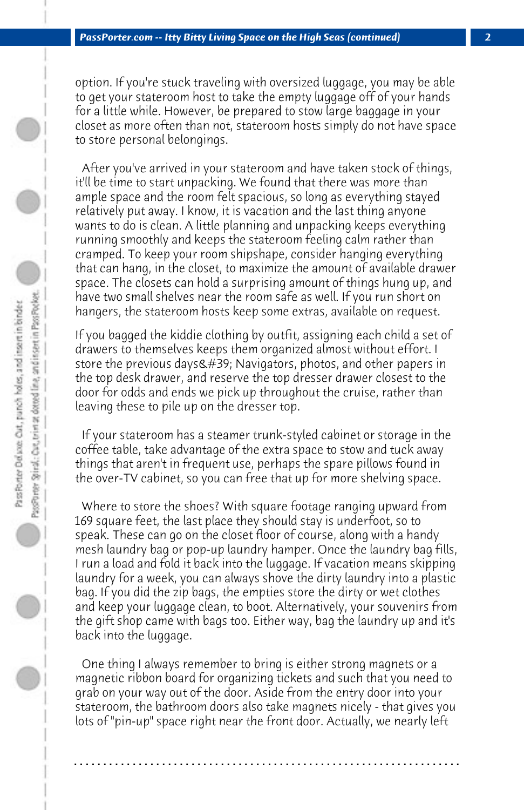option. If you're stuck traveling with oversized luggage, you may be able to get your stateroom host to take the empty luggage off of your hands for a little while. However, be prepared to stow large baggage in your closet as more often than not, stateroom hosts simply do not have space to store personal belongings.

 After you've arrived in your stateroom and have taken stock of things, it'll be time to start unpacking. We found that there was more than ample space and the room felt spacious, so long as everything stayed relatively put away. I know, it is vacation and the last thing anyone wants to do is clean. A little planning and unpacking keeps everything running smoothly and keeps the stateroom feeling calm rather than cramped. To keep your room shipshape, consider hanging everything that can hang, in the closet, to maximize the amount of available drawer space. The closets can hold a surprising amount of things hung up, and have two small shelves near the room safe as well. If you run short on hangers, the stateroom hosts keep some extras, available on request.

If you bagged the kiddie clothing by outfit, assigning each child a set of drawers to themselves keeps them organized almost without effort. I store the previous days $\&$ #39; Navigators, photos, and other papers in the top desk drawer, and reserve the top dresser drawer closest to the door for odds and ends we pick up throughout the cruise, rather than leaving these to pile up on the dresser top.

 If your stateroom has a steamer trunk-styled cabinet or storage in the coffee table, take advantage of the extra space to stow and tuck away things that aren't in frequent use, perhaps the spare pillows found in the over-TV cabinet, so you can free that up for more shelving space.

 Where to store the shoes? With square footage ranging upward from 169 square feet, the last place they should stay is underfoot, so to speak. These can go on the closet floor of course, along with a handy mesh laundry bag or pop-up laundry hamper. Once the laundry bag fills, I run a load and fold it back into the luggage. If vacation means skipping laundry for a week, you can always shove the dirty laundry into a plastic bag. If you did the zip bags, the empties store the dirty or wet clothes and keep your luggage clean, to boot. Alternatively, your souvenirs from the gift shop came with bags too. Either way, bag the laundry up and it's back into the luggage.

 One thing I always remember to bring is either strong magnets or a magnetic ribbon board for organizing tickets and such that you need to grab on your way out of the door. Aside from the entry door into your stateroom, the bathroom doors also take magnets nicely - that gives you lots of "pin-up" space right near the front door. Actually, we nearly left

**. . . . . . . . . . . . . . . . . . . . . . . . . . . . . . . . . . . . . . . . . . . . . . . . . . . . . . . . . . . . . . . . . .**